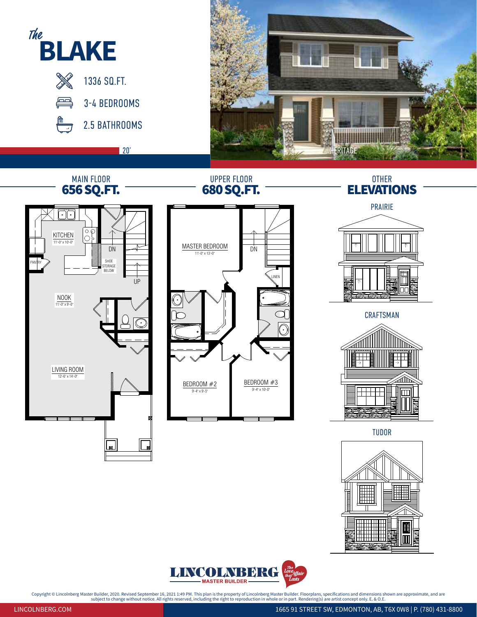



Copyright © Lincolnberg Master Builder, 2020. Revised September 16, 2021 1:49 PM. This plan is the property of Lincolnberg Master Builder. Floorplans, specifications and dimensions shown are approximate, and are subject to

LINCOLNBERG.COM 1665 91 STREET SW, EDMONTON, AB, T6X 0W8 | P. (780) 431-8800

M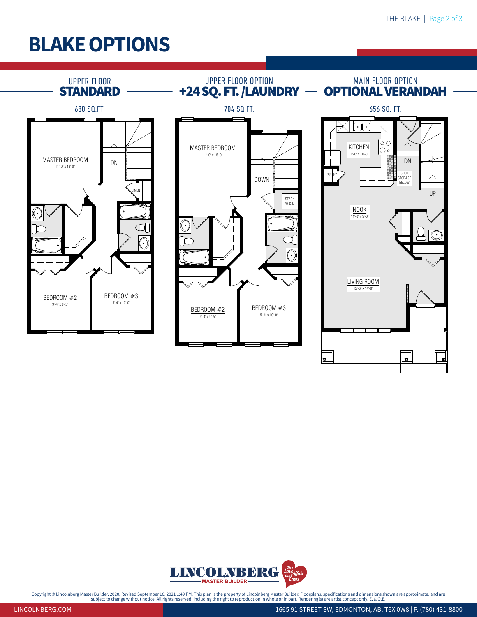## Blake OPTIONS





Copyright © Lincolnberg Master Builder, 2020. Revised September 16, 2021 1:49 PM. This plan is the property of Lincolnberg Master Builder. Floorplans, specifications and dimensions shown are approximate, and are<br>subject on